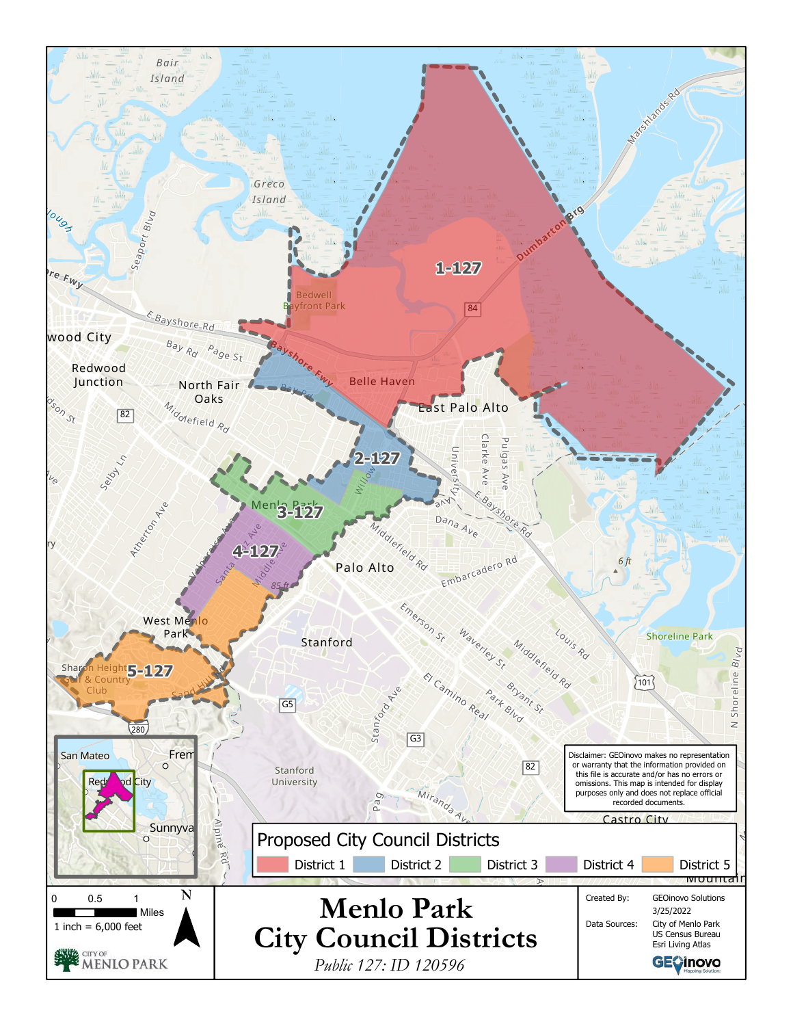